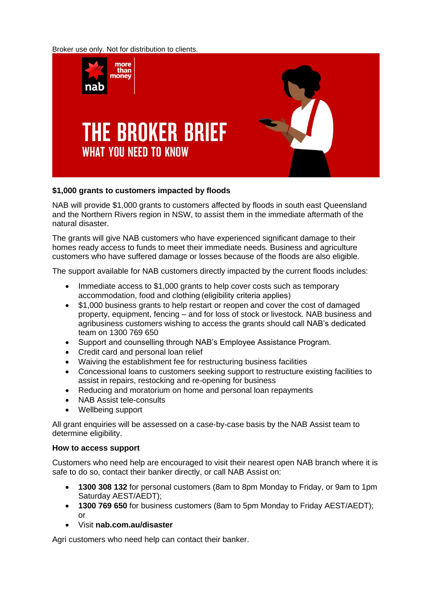Broker use only. Not for distribution to clients.



## **\$1,000 grants to customers impacted by floods**

NAB will provide \$1,000 grants to customers affected by floods in south east Queensland and the Northern Rivers region in NSW, to assist them in the immediate aftermath of the natural disaster.

The grants will give NAB customers who have experienced significant damage to their homes ready access to funds to meet their immediate needs. Business and agriculture customers who have suffered damage or losses because of the floods are also eligible.

The support available for NAB customers directly impacted by the current floods includes:

- Immediate access to \$1,000 grants to help cover costs such as temporary accommodation, food and clothing (eligibility criteria applies)
- \$1,000 business grants to help restart or reopen and cover the cost of damaged property, equipment, fencing – and for loss of stock or livestock. NAB business and agribusiness customers wishing to access the grants should call NAB's dedicated team on 1300 769 650
- Support and counselling through NAB's Employee Assistance Program.
- Credit card and personal loan relief
- Waiving the establishment fee for restructuring business facilities
- Concessional loans to customers seeking support to restructure existing facilities to assist in repairs, restocking and re-opening for business
- Reducing and moratorium on home and personal loan repayments
- NAB Assist tele-consults
- Wellbeing support

All grant enquiries will be assessed on a case-by-case basis by the NAB Assist team to determine eligibility.

## **How to access support**

Customers who need help are encouraged to visit their nearest open NAB branch where it is safe to do so, contact their banker directly, or call NAB Assist on:

- **1300 308 132** for personal customers (8am to 8pm Monday to Friday, or 9am to 1pm Saturday AEST/AEDT);
- **1300 769 650** for business customers (8am to 5pm Monday to Friday AEST/AEDT);  $\alpha$ r
- Visit **nab.com.au/disaster**

Agri customers who need help can contact their banker.